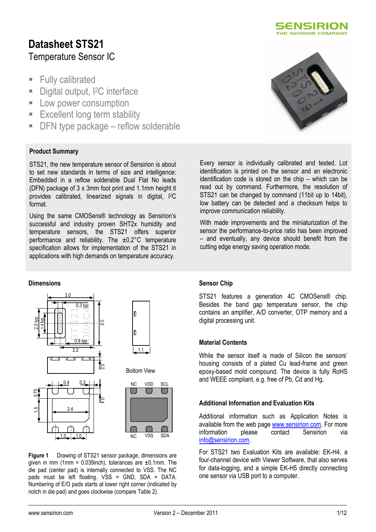

# **Datasheet STS21** Temperature Sensor IC

- **Fully calibrated**
- Digital output, <sup>2</sup>C interface
- **Low power consumption**
- **Excellent long term stability**
- DFN type package reflow solderable

### **Product Summary**

STS21, the new temperature sensor of Sensirion is about to set new standards in terms of size and intelligence: Embedded in a reflow solderable Dual Flat No leads (DFN) package of 3 x 3mm foot print and 1.1mm height it provides calibrated, linearized signals in digital, I2C format.

Using the same CMOSens® technology as Sensirion"s successful and industry proven SHT2x humidity and temperature sensors, the STS21 offers superior performance and reliability. The ±0.2°C temperature specification allows for implementation of the STS21 in applications with high demands on temperature accuracy.

#### **Dimensions**



**Figure 1** Drawing of STS21 sensor package, dimensions are given in mm (1mm =  $0.039$ inch), tolerances are  $\pm 0.1$ mm. The die pad (center pad) is internally connected to VSS. The NC pads must be left floating. VSS = GND, SDA = DATA. Numbering of E/O pads starts at lower right corner (indicated by notch in die pad) and goes clockwise (compare [Table 2\)](#page-3-0).



Every sensor is individually calibrated and tested. Lot identification is printed on the sensor and an electronic identification code is stored on the chip – which can be read out by command. Furthermore, the resolution of STS21 can be changed by command (11bit up to 14bit), low battery can be detected and a checksum helps to improve communication reliability.

With made improvements and the miniaturization of the sensor the performance-to-price ratio has been improved – and eventually, any device should benefit from the cutting edge energy saving operation mode.

#### **Sensor Chip**

STS21 features a generation 4C CMOSens® chip. Besides the band gap temperature sensor, the chip contains an amplifier, A/D converter, OTP memory and a digital processing unit.

#### **Material Contents**

While the sensor itself is made of Silicon the sensors' housing consists of a plated Cu lead-frame and green epoxy-based mold compound. The device is fully RoHS and WEEE compliant, e.g. free of Pb, Cd and Hg.

#### **Additional Information and Evaluation Kits**

Additional information such as Application Notes is available from the web page [www.sensirion.com.](http://www.sensirion.com/) For more information please contact Sensirion via [info@sensirion.com.](mailto:info@sensirion.com)

For STS21 two Evaluation Kits are available: EK-H4, a four-channel device with Viewer Software, that also serves for data-logging, and a simple EK-H5 directly connecting one sensor via USB port to a computer.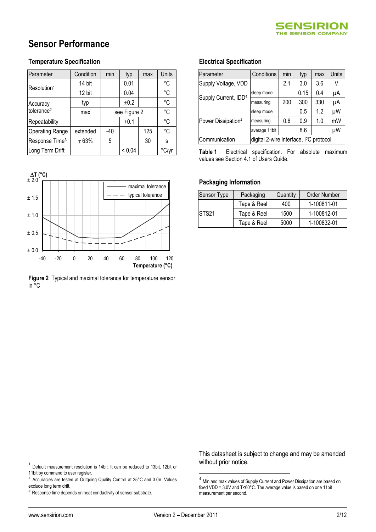

# **Sensor Performance**

#### **Temperature Specification**

| Parameter                  | Condition  | min          | typ    | max | Units       |
|----------------------------|------------|--------------|--------|-----|-------------|
| Resolution <sup>1</sup>    | 14 bit     |              | 0.01   |     | $^{\circ}C$ |
|                            | 12 bit     |              | 0.04   |     | $^{\circ}C$ |
| Accuracy                   | typ        |              | ±0.2   |     | $^{\circ}C$ |
| tolerance <sup>2</sup>     | max        | see Figure 2 |        |     | $^{\circ}C$ |
| Repeatability              |            | ±0.1         |        |     | °C          |
| <b>Operating Range</b>     | extended   | -40          |        | 125 | °C          |
| Response Time <sup>3</sup> | $\tau$ 63% | 5            |        | 30  | S           |
| Long Term Drift            |            |              | < 0.04 |     | °C/v        |



**Figure 2** Typical and maximal tolerance for temperature sensor in °C

#### **Electrical Specification**

| Parameter                        | Conditions                                          | min | typ  | max | Units |
|----------------------------------|-----------------------------------------------------|-----|------|-----|-------|
| Supply Voltage, VDD              |                                                     | 2.1 | 3.0  | 3.6 | V     |
| Supply Current, IDD <sup>4</sup> | sleep mode                                          |     | 0.15 | 0.4 | μA    |
|                                  | measuring                                           | 200 | 300  | 330 | μA    |
|                                  | sleep mode                                          |     | 0.5  | 1.2 | μW    |
| Power Dissipation <sup>4</sup>   | measuring                                           | 0.6 | 0.9  | 1.0 | mW    |
|                                  | average 11bit                                       |     | 8.6  |     | μW    |
| Communication                    | digital 2-wire interface, I <sup>2</sup> C protocol |     |      |     |       |

<span id="page-1-0"></span>**Table 1** Electrical specification. For absolute maximum values see Section 4.1 of Users Guide.

#### **Packaging Information**

| Sensor Type       | Packaging   | Quantity | Order Number |
|-------------------|-------------|----------|--------------|
|                   | Tape & Reel | 400      | 1-100811-01  |
| STS <sub>21</sub> | Tape & Reel | 1500     | 1-100812-01  |
|                   | Tape & Reel | 5000     | 1-100832-01  |

This datasheet is subject to change and may be amended without prior notice.

 $\overline{a}$ 

1

<sup>1</sup> Default measurement resolution is 14bit. It can be reduced to 13bit, 12bit or 11bit by command to user register.

Accuracies are tested at Outgoing Quality Control at 25°C and 3.0V. Values exclude long term drift.<br><sup>3</sup> Pesnanas time dans

Response time depends on heat conductivity of sensor substrate.

 $<sup>4</sup>$  Min and max values of Supply Current and Power Dissipation are based on</sup> fixed VDD = 3.0V and T<60°C. The average value is based on one 11bit measurement per second.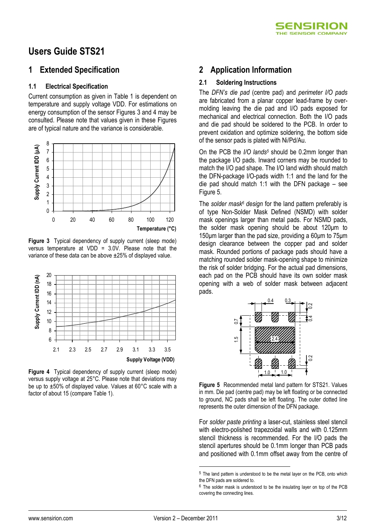

# **Users Guide STS21**

### **1 Extended Specification**

#### **1.1 Electrical Specification**

Current consumption as given in Table 1 is dependent on temperature and supply voltage VDD. For estimations on energy consumption of the sensor Figures 3 and 4 may be consulted. Please note that values given in these Figures are of typical nature and the variance is considerable.



**Figure 3** Typical dependency of supply current (sleep mode) versus temperature at VDD = 3.0V. Please note that the variance of these data can be above ±25% of displayed value.



**Figure 4** Typical dependency of supply current (sleep mode) versus supply voltage at 25°C. Please note that deviations may be up to ±50% of displayed value. Values at 60°C scale with a factor of about 15 (compare Table 1).

### **2 Application Information**

#### **2.1 Soldering Instructions**

The *DFN's die pad* (centre pad) and *perimeter I/O pads* are fabricated from a planar copper lead-frame by overmolding leaving the die pad and I/O pads exposed for mechanical and electrical connection. Both the I/O pads and die pad should be soldered to the PCB. In order to prevent oxidation and optimize soldering, the bottom side of the sensor pads is plated with Ni/Pd/Au.

On the PCB the *I/O lands<sup>5</sup>* should be 0.2mm longer than the package I/O pads. Inward corners may be rounded to match the I/O pad shape. The I/O land width should match the DFN-package I/O-pads width 1:1 and the land for the die pad should match 1:1 with the DFN package – see [Figure 5.](#page-2-0)

The *solder mask<sup>6</sup> design* for the land pattern preferably is of type Non-Solder Mask Defined (NSMD) with solder mask openings larger than metal pads. For NSMD pads, the solder mask opening should be about 120μm to 150μm larger than the pad size, providing a 60μm to 75μm design clearance between the copper pad and solder mask. Rounded portions of package pads should have a matching rounded solder mask-opening shape to minimize the risk of solder bridging. For the actual pad dimensions, each pad on the PCB should have its own solder mask opening with a web of solder mask between adjacent pads.



<span id="page-2-0"></span>**Figure 5** Recommended metal land pattern for STS21. Values in mm. Die pad (centre pad) may be left floating or be connected to ground, NC pads shall be left floating. The outer dotted line represents the outer dimension of the DFN package.

For *solder paste printing* a laser-cut, stainless steel stencil with electro-polished trapezoidal walls and with 0.125mm stencil thickness is recommended. For the I/O pads the stencil apertures should be 0.1mm longer than PCB pads and positioned with 0.1mm offset away from the centre of

1

<sup>&</sup>lt;sup>5</sup> The land pattern is understood to be the metal layer on the PCB, onto which the DFN pads are soldered to.

 $6$  The solder mask is understood to be the insulating layer on top of the PCB covering the connecting lines.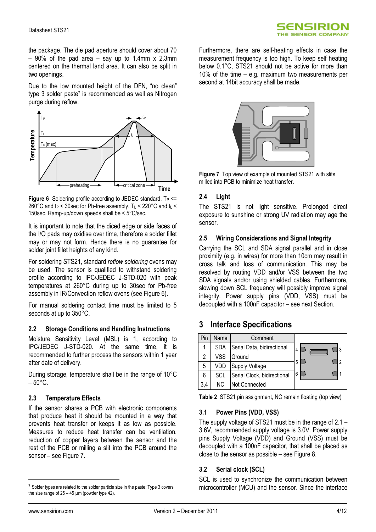

the package. The die pad aperture should cover about 70  $-90\%$  of the pad area  $-$  say up to 1.4mm x 2.3mm centered on the thermal land area. It can also be split in two openings.

Due to the low mounted height of the DFN, "no clean" type 3 solder paste<sup>7</sup> is recommended as well as Nitrogen purge during reflow.



<span id="page-3-1"></span>**Figure 6** Soldering profile according to JEDEC standard.  $T_P \leq T$ 260°C and  $t_P$  < 30sec for Pb-free assembly. T<sub>L</sub> < 220°C and  $t_L$  < 150sec. Ramp-up/down speeds shall be < 5°C/sec.

It is important to note that the diced edge or side faces of the I/O pads may oxidise over time, therefore a solder fillet may or may not form. Hence there is no guarantee for solder joint fillet heights of any kind.

For soldering STS21, standard *reflow soldering* ovens may be used. The sensor is qualified to withstand soldering profile according to IPC/JEDEC J-STD-020 with peak temperatures at 260°C during up to 30sec for Pb-free assembly in IR/Convection reflow ovens (se[e Figure 6\)](#page-3-1).

For manual soldering contact time must be limited to 5 seconds at up to 350°C.

#### **2.2 Storage Conditions and Handling Instructions**

Moisture Sensitivity Level (MSL) is 1, according to IPC/JEDEC J-STD-020. At the same time, it is recommended to further process the sensors within 1 year after date of delivery.

During storage, temperature shall be in the range of 10°C  $-50^{\circ}$ C.

#### **2.3 Temperature Effects**

If the sensor shares a PCB with electronic components that produce heat it should be mounted in a way that prevents heat transfer or keeps it as low as possible. Measures to reduce heat transfer can be ventilation, reduction of copper layers between the sensor and the rest of the PCB or milling a slit into the PCB around the sensor – see [Figure 7.](#page-3-2)

Furthermore, there are self-heating effects in case the measurement frequency is too high. To keep self heating below 0.1°C, STS21 should not be active for more than 10% of the time – e.g. maximum two measurements per second at 14bit accuracy shall be made.



**Figure 7** Top view of example of mounted STS21 with slits milled into PCB to minimize heat transfer.

#### <span id="page-3-2"></span>**2.4 Light**

The STS21 is not light sensitive. Prolonged direct exposure to sunshine or strong UV radiation may age the sensor.

#### **2.5 Wiring Considerations and Signal Integrity**

Carrying the SCL and SDA signal parallel and in close proximity (e.g. in wires) for more than 10cm may result in cross talk and loss of communication. This may be resolved by routing VDD and/or VSS between the two SDA signals and/or using shielded cables. Furthermore, slowing down SCL frequency will possibly improve signal integrity. Power supply pins (VDD, VSS) must be decoupled with a 100nF capacitor – see next Section.

### **3 Interface Specifications**

| Pin | Name       | Comment                     |   |
|-----|------------|-----------------------------|---|
|     | <b>SDA</b> | Serial Data, bidirectional  | 4 |
| 2   | VSS        | Ground                      |   |
| 5   | VDD        | Supply Voltage              | 5 |
| 6   | SCL        | Serial Clock, bidirectional | 6 |
| 3,4 | NC.        | Not Connected               |   |

<span id="page-3-0"></span>**Table 2** STS21 pin assignment, NC remain floating (top view)

#### **3.1 Power Pins (VDD, VSS)**

The supply voltage of STS21 must be in the range of 2.1 – 3.6V, recommended supply voltage is 3.0V. Power supply pins Supply Voltage (VDD) and Ground (VSS) must be decoupled with a 100nF capacitor, that shall be placed as close to the sensor as possible – see [Figure 8.](#page-4-0)

#### **3.2 Serial clock (SCL)**

SCL is used to synchronize the communication between microcontroller (MCU) and the sensor. Since the interface

 $\overline{a}$ 

 $7$  Solder types are related to the solder particle size in the paste: Type 3 covers the size range of  $25 - 45$  µm (powder type 42).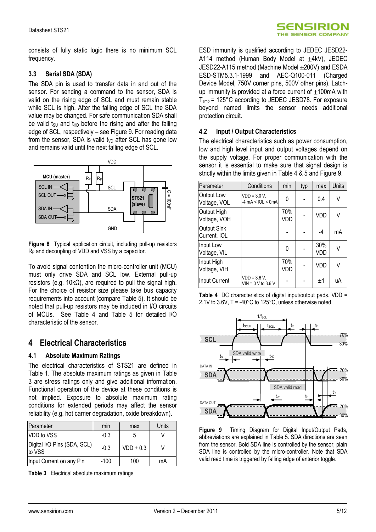consists of fully static logic there is no minimum SCL frequency.

#### **3.3 Serial SDA (SDA)**

The SDA pin is used to transfer data in and out of the sensor. For sending a command to the sensor, SDA is valid on the rising edge of SCL and must remain stable while SCL is high. After the falling edge of SCL the SDA value may be changed. For safe communication SDA shall be valid  $t_{\text{SU}}$  and  $t_{\text{HD}}$  before the rising and after the falling edge of SCL, respectively – see [Figure 9.](#page-4-1) For reading data from the sensor, SDA is valid t<sub>VD</sub> after SCL has gone low and remains valid until the next falling edge of SCL.



<span id="page-4-0"></span>**Figure 8** Typical application circuit, including pull-up resistors R<sup>P</sup> and decoupling of VDD and VSS by a capacitor.

To avoid signal contention the micro-controller unit (MCU) must only drive SDA and SCL low. External pull-up resistors (e.g. 10kΩ), are required to pull the signal high. For the choice of resistor size please take bus capacity requirements into account (compare Table 5). It should be noted that pull-up resistors may be included in I/O circuits of MCUs. See [Table 4](#page-4-2) and [Table 5](#page-5-0) for detailed I/O characteristic of the sensor.

## **4 Electrical Characteristics**

#### **4.1 Absolute Maximum Ratings**

The electrical characteristics of STS21 are defined in [Table 1.](#page-1-0) The absolute maximum ratings as given in [Table](#page-4-3)  [3](#page-4-3) are stress ratings only and give additional information. Functional operation of the device at these conditions is not implied. Exposure to absolute maximum rating conditions for extended periods may affect the sensor reliability (e.g. hot carrier degradation, oxide breakdown).

| Parameter                             | min    | max         | Units |
|---------------------------------------|--------|-------------|-------|
| VDD to VSS                            | $-0.3$ |             |       |
| Digital I/O Pins (SDA, SCL)<br>to VSS | $-0.3$ | $VDD + 0.3$ |       |
| Input Current on any Pin              | $-100$ | 100         | mA    |

<span id="page-4-3"></span>**Table 3** Electrical absolute maximum ratings

ESD immunity is qualified according to JEDEC JESD22- A114 method (Human Body Model at  $\pm$ 4kV), JEDEC JESD22-A115 method (Machine Model 200V) and ESDA ESD-STM5.3.1-1999 and AEC-Q100-011 (Charged Device Model, 750V corner pins, 500V other pins). Latchup immunity is provided at a force current of  $\pm 100$ mA with Tamb = 125°C according to JEDEC JESD78. For exposure beyond named limits the sensor needs additional protection circuit.

#### **4.2 Input / Output Characteristics**

The electrical characteristics such as power consumption, low and high level input and output voltages depend on the supply voltage. For proper communication with the sensor it is essential to make sure that signal design is strictly within the limits given i[n Table 4](#page-4-2) & 5 and [Figure 9.](#page-4-1)

| Parameter                   | Conditions                                                  | min        | typ | max        | Units |
|-----------------------------|-------------------------------------------------------------|------------|-----|------------|-------|
| Output Low<br>Voltage, VOL  | $VDD = 3.0 V,$<br>$-4 \text{ mA} < \text{IOL} < \text{0mA}$ | 0          |     | 0.4        | V     |
| Output High<br>Voltage, VOH |                                                             | 70%<br>VDD |     | VDD        | ٧     |
| Output Sink<br>Current, IOL |                                                             |            |     | $-4$       | mA    |
| Input Low<br>Voltage, VIL   |                                                             | 0          |     | 30%<br>VDD | V     |
| Input High<br>Voltage, VIH  |                                                             | 70%<br>VDD |     | VDD        | V     |
| Input Current               | $VDD = 3.6 V,$<br>$VIN = 0 V to 3.6 V$                      |            |     | $+1$       | uA    |

<span id="page-4-2"></span>**Table 4** DC characteristics of digital input/output pads. VDD = 2.1V to 3.6V, T = -40°C to 125°C, unless otherwise noted.



<span id="page-4-1"></span>**Figure 9** Timing Diagram for Digital Input/Output Pads, abbreviations are explained in [Table 5.](#page-5-0) SDA directions are seen from the sensor. Bold SDA line is controlled by the sensor, plain SDA line is controlled by the micro-controller. Note that SDA valid read time is triggered by falling edge of anterior toggle.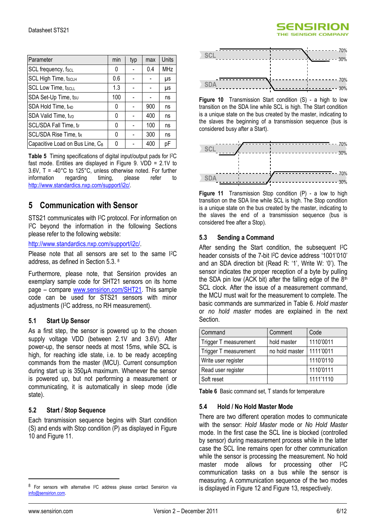| Parameter                                   | min | typ | max | <b>Units</b> |
|---------------------------------------------|-----|-----|-----|--------------|
| SCL frequency, fscL                         | 0   |     | 0.4 | <b>MHz</b>   |
| <b>SCL High Time, tscLH</b>                 | 0.6 |     |     | μs           |
| <b>SCL Low Time, tscLL</b>                  | 1.3 |     |     | μs           |
| SDA Set-Up Time, tsu                        | 100 |     |     | ns           |
| SDA Hold Time, tHD                          | 0   |     | 900 | ns           |
| SDA Valid Time, tvp                         | 0   |     | 400 | ns           |
| SCL/SDA Fall Time, tF                       | 0   |     | 100 | ns           |
| SCL/SDA Rise Time, tR                       | 0   |     | 300 | ns           |
| Capacitive Load on Bus Line, C <sub>B</sub> | 0   |     | 400 | рF           |

<span id="page-5-0"></span>**Table 5** Timing specifications of digital input/output pads for I2C fast mode. Entities are displayed in [Figure 9.](#page-4-1) VDD = 2.1V to 3.6V, T = -40°C to 125°C, unless otherwise noted. For further information regarding timing, blease refer to information regarding timing, please refer to [http://www.standardics.nxp.com/support/i2c/.](http://www.standardics.nxp.com/support/i2c/) 

## **5 Communication with Sensor**

STS21 communicates with I <sup>2</sup>C protocol. For information on I <sup>2</sup>C beyond the information in the following Sections please refer to the following website:

#### [http://www.standardics.nxp.com/support/i2c/.](http://www.standardics.nxp.com/support/i2c/)

Please note that all sensors are set to the same I<sup>2</sup>C address, as defined in Section 5.3. 8

Furthermore, please note, that Sensirion provides an exemplary sample code for SHT21 sensors on its home page – compare [www.sensirion.com/SHT21.](http://www.sensirion.com/SHT21) This sample code can be used for STS21 sensors with minor adjustments (I2C address, no RH measurement).

#### **5.1 Start Up Sensor**

As a first step, the sensor is powered up to the chosen supply voltage VDD (between 2.1V and 3.6V). After power-up, the sensor needs at most 15ms, while SCL is high, for reaching idle state, i.e. to be ready accepting commands from the master (MCU). Current consumption during start up is 350µA maximum. Whenever the sensor is powered up, but not performing a measurement or communicating, it is automatically in sleep mode (idle state).

#### **5.2 Start / Stop Sequence**

Each transmission sequence begins with Start condition (S) and ends with Stop condition (P) as displayed i[n Figure](#page-5-1)  [10](#page-5-1) and [Figure 11.](#page-5-2)



**SENSIRION HE SENSOR COMPANY** 

<span id="page-5-1"></span>**Figure 10** Transmission Start condition (S) - a high to low transition on the SDA line while SCL is high. The Start condition is a unique state on the bus created by the master, indicating to the slaves the beginning of a transmission sequence (bus is considered busy after a Start).



<span id="page-5-2"></span>**Figure 11** Transmission Stop condition (P) - a low to high transition on the SDA line while SCL is high. The Stop condition is a unique state on the bus created by the master, indicating to the slaves the end of a transmission sequence (bus is considered free after a Stop).

#### **5.3 Sending a Command**

After sending the Start condition, the subsequent I<sup>2</sup>C header consists of the 7-bit I<sup>2</sup>C device address '1001'010' and an SDA direction bit (Read R: "1", Write W: "0"). The sensor indicates the proper reception of a byte by pulling the SDA pin low (ACK bit) after the falling edge of the  $8<sup>th</sup>$ SCL clock. After the issue of a measurement command. the MCU must wait for the measurement to complete. The basic commands are summarized in [Table 6.](#page-5-3) *Hold master* or *no hold master* modes are explained in the next **Section** 

| Command               | Comment        | Code      |
|-----------------------|----------------|-----------|
| Trigger T measurement | hold master    | 1110'0011 |
| Trigger T measurement | no hold master | 1111'0011 |
| Write user register   |                | 1110'0110 |
| Read user register    |                | 1110'0111 |
| Soft reset            |                | 1111'1110 |

<span id="page-5-3"></span>**Table 6** Basic command set, T stands for temperature

#### **5.4 Hold / No Hold Master Mode**

There are two different operation modes to communicate with the sensor: *Hold Master* mode or *No Hold Master* mode. In the first case the SCL line is blocked (controlled by sensor) during measurement process while in the latter case the SCL line remains open for other communication while the sensor is processing the measurement. No hold master mode allows for processing other I<sup>2</sup>C communication tasks on a bus while the sensor is measuring. A communication sequence of the two modes is displayed i[n Figure 12](#page-6-0) an[d Figure 13,](#page-6-1) respectively.

 $\overline{a}$ 

For sensors with alternative I<sup>2</sup>C address please contact Sensirion via [info@sensirion.com.](mailto:info@sensirion.com)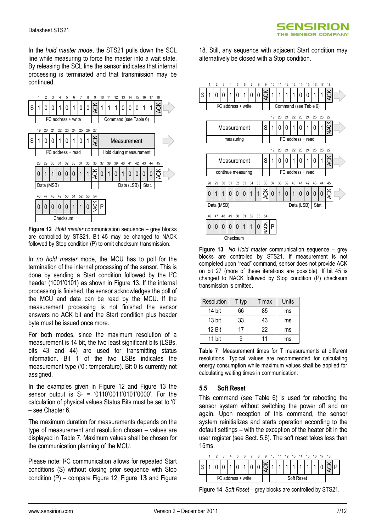In the *hold master mode*, the STS21 pulls down the SCL line while measuring to force the master into a wait state. By releasing the SCL line the sensor indicates that internal processing is terminated and that transmission may be continued.



<span id="page-6-0"></span>**Figure 12** *Hold master* communication sequence – grey blocks are controlled by STS21. Bit 45 may be changed to NACK followed by Stop condition (P) to omit checksum transmission.

In *no hold master* mode, the MCU has to poll for the termination of the internal processing of the sensor. This is done by sending a Start condition followed by the I2C header (1001'0101) as shown in [Figure 13.](#page-6-1) If the internal processing is finished, the sensor acknowledges the poll of the MCU and data can be read by the MCU. If the measurement processing is not finished the sensor answers no ACK bit and the Start condition plus header byte must be issued once more.

For both modes, since the maximum resolution of a measurement is 14 bit, the two least significant bits (LSBs, bits 43 and 44) are used for transmitting status information. Bit 1 of the two LSBs indicates the measurement type ("0": temperature). Bit 0 is currently not assigned.

In the examples given in Figure 12 and Figure 13 the sensor output is  $S_T = '0110'0011'0101'0000'$ . For the calculation of physical values Status Bits must be set to "0" – see Chapter 6.

The maximum duration for measurements depends on the type of measurement and resolution chosen – values are displayed in [Table 7.](#page-6-2) Maximum values shall be chosen for the communication planning of the MCU.

Please note: I<sup>2</sup>C communication allows for repeated Start conditions (S) without closing prior sequence with Stop condition (P) – compare [Figure 12,](#page-6-0) [Figure](#page-6-1) **13** and [Figure](#page-8-0) 

[18.](#page-8-0) Still, any sequence with adjacent Start condition may alternatively be closed with a Stop condition.



<span id="page-6-1"></span>**Figure 13** *No Hold master* communication sequence – grey blocks are controlled by STS21. If measurement is not completed upon "read" command, sensor does not provide ACK on bit 27 (more of these iterations are possible). If bit 45 is changed to NACK followed by Stop condition (P) checksum transmission is omitted.

| Resolution | T typ | T max | Units |
|------------|-------|-------|-------|
| 14 bit     | 66    | 85    | ms    |
| 13 bit     | 33    | 43    | ms    |
| 12 Bit     | 17    | 22    | ms    |
| 11 bit     |       | 11    | ms    |

<span id="page-6-2"></span>**Table 7** Measurement times for T measurements at different resolutions. Typical values are recommended for calculating energy consumption while maximum values shall be applied for calculating waiting times in communication.

#### **5.5 Soft Reset**

This command (see [Table 6\)](#page-5-3) is used for rebooting the sensor system without switching the power off and on again. Upon reception of this command, the sensor system reinitializes and starts operation according to the default settings – with the exception of the heater bit in the user register (see Sect. [5.6\)](#page-7-0). The soft reset takes less than 15ms.



**Figure 14** *Soft Reset* – grey blocks are controlled by STS21.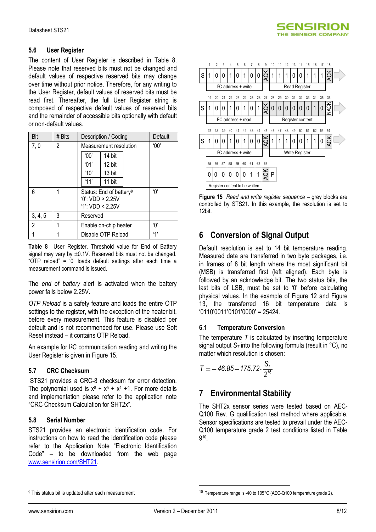

#### <span id="page-7-0"></span>**5.6 User Register**

The content of User Register is described in [Table 8.](#page-7-1) Please note that reserved bits must not be changed and default values of respective reserved bits may change over time without prior notice. Therefore, for any writing to the User Register, default values of reserved bits must be read first. Thereafter, the full User Register string is composed of respective default values of reserved bits and the remainder of accessible bits optionally with default or non-default values.

| Bit     | # Bits | Description / Coding                                                        | Default        |
|---------|--------|-----------------------------------------------------------------------------|----------------|
| 7,0     | 2      | Measurement resolution                                                      | 00'            |
|         |        | '00'<br>14 bit                                                              |                |
|         |        | '01'<br>12 bit                                                              |                |
|         |        | '10'<br>13 bit                                                              |                |
|         |        | '11'<br>11 bit                                                              |                |
| 6       |        | Status: End of battery <sup>9</sup><br>0: VDD > 2.25V<br>$'1$ : VDD < 2.25V | $^{\prime}()'$ |
| 3, 4, 5 | 3      | Reserved                                                                    |                |
| 2       |        | Enable on-chip heater                                                       | 'በ'            |
|         |        | Disable OTP Reload                                                          | 4'             |

<span id="page-7-1"></span>**Table 8** User Register. Threshold value for End of Battery signal may vary by ±0.1V. Reserved bits must not be changed. "OTP reload" = "0" loads default settings after each time a measurement command is issued.

The *end of battery* alert is activated when the battery power falls below 2.25V.

*OTP Reload* is a safety feature and loads the entire OTP settings to the register, with the exception of the heater bit, before every measurement. This feature is disabled per default and is not recommended for use. Please use Soft Reset instead – it contains OTP Reload.

An example for I2C communication reading and writing the User Register is given in [Figure 15.](#page-7-2)

#### **5.7 CRC Checksum**

STS21 provides a CRC-8 checksum for error detection. The polynomial used is  $x^8 + x^5 + x^4 + 1$ . For more details and implementation please refer to the application note "CRC Checksum Calculation for SHT2x".

#### **5.8 Serial Number**

STS21 provides an electronic identification code. For instructions on how to read the identification code please refer to the Application Note "Electronic Identification Code" – to be downloaded from the web page [www.sensirion.com/SHT21.](http://www.sensirion.com/SHT21)



<span id="page-7-2"></span>**Figure 15** *Read and write register sequence* – grey blocks are controlled by STS21. In this example, the resolution is set to 12bit.

## **6 Conversion of Signal Output**

Default resolution is set to 14 bit temperature reading. Measured data are transferred in two byte packages, i.e. in frames of 8 bit length where the most significant bit (MSB) is transferred first (left aligned). Each byte is followed by an acknowledge bit. The two status bits, the last bits of LSB, must be set to "0" before calculating physical values. In the example of [Figure 12](#page-6-0) and [Figure](#page-6-1)  [13,](#page-6-1) the transferred 16 bit temperature data is  $(0110'0011'0101'0000' = 25424)$ 

#### **6.1 Temperature Conversion**

The temperature *T* is calculated by inserting temperature signal output  $S_T$  into the following formula (result in  ${}^{\circ}C$ ), no matter which resolution is chosen:

$$
T = -46.85 + 175.72 \cdot \frac{S_T}{2^{16}}
$$

## **7 Environmental Stability**

The SHT2x sensor series were tested based on AEC-Q100 Rev. G qualification test method where applicable. Sensor specifications are tested to prevail under the AEC-Q100 temperature grade 2 test conditions listed in Table 9 10 .

 $\overline{a}$ 

1

<sup>&</sup>lt;sup>9</sup> This status bit is updated after each measurement

<sup>&</sup>lt;sup>10</sup> Temperature range is -40 to 105°C (AEC-Q100 temperature grade 2).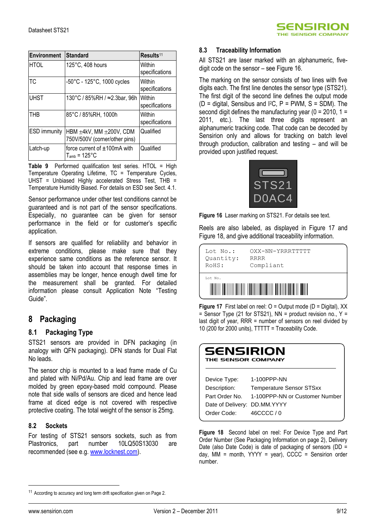

| <b>Environment</b>  | Standard                                                             | Results <sup>11</sup>    |
|---------------------|----------------------------------------------------------------------|--------------------------|
| <b>HTOL</b>         | 125°C, 408 hours                                                     | Within<br>specifications |
| <b>TC</b>           | -50°C - 125°C, 1000 cycles                                           | Within<br>specifications |
| <b>UHST</b>         | 130°C / 85%RH / ≈2.3bar, 96h                                         | Within<br>specifications |
| <b>THB</b>          | 85°C / 85%RH, 1000h                                                  | Within<br>specifications |
| <b>ESD</b> immunity | HBM $\pm 4kV$ , MM $\pm 200V$ , CDM<br>750V/500V (corner/other pins) | Qualified                |
| Latch-up            | force current of $\pm 100$ mA with<br>$T_{amb}$ = 125°C              | Qualified                |

**Table 9** Performed qualification test series. HTOL = High Temperature Operating Lifetime, TC = Temperature Cycles, UHST = Unbiased Highly accelerated Stress Test, THB = Temperature Humidity Biased. For details on ESD see Sect. 4.1.

Sensor performance under other test conditions cannot be guaranteed and is not part of the sensor specifications. Especially, no guarantee can be given for sensor performance in the field or for customer's specific application.

If sensors are qualified for reliability and behavior in extreme conditions, please make sure that they experience same conditions as the reference sensor. It should be taken into account that response times in assemblies may be longer, hence enough dwell time for the measurement shall be granted. For detailed information please consult Application Note "Testing Guide".

### **8 Packaging**

#### **8.1 Packaging Type**

STS21 sensors are provided in DFN packaging (in analogy with QFN packaging). DFN stands for Dual Flat No leads.

The sensor chip is mounted to a lead frame made of Cu and plated with Ni/Pd/Au. Chip and lead frame are over molded by green epoxy-based mold compound. Please note that side walls of sensors are diced and hence lead frame at diced edge is not covered with respective protective coating. The total weight of the sensor is 25mg.

#### **8.2 Sockets**

For testing of STS21 sensors sockets, such as from Plastronics, part number 10LQ50S13030 are recommended (see e.g. [www.locknest.com\)](http://www.locknest.com/).

#### **8.3 Traceability Information**

All STS21 are laser marked with an alphanumeric, fivedigit code on the sensor – see [Figure 16.](#page-8-1)

The marking on the sensor consists of two lines with five digits each. The first line denotes the sensor type (STS21). The first digit of the second line defines the output mode  $(D =$  digital, Sensibus and  $P^2C$ ,  $P = PWM$ ,  $S = SDM$ ). The second digit defines the manufacturing year ( $0 = 2010$ ,  $1 =$ 2011, etc.). The last three digits represent an alphanumeric tracking code. That code can be decoded by Sensirion only and allows for tracking on batch level through production, calibration and testing – and will be provided upon justified request.



<span id="page-8-1"></span>**Figure 16** Laser marking on STS21. For details see text.

Reels are also labeled, as displayed in Figure 17 and Figure 18, and give additional traceability information.



**Figure 17** First label on reel: O = Output mode (D = Digital), XX  $=$  Sensor Type (21 for STS21), NN  $=$  product revision no., Y  $=$ last digit of year, RRR = number of sensors on reel divided by 10 (200 for 2000 units), TTTTT = Traceability Code.

| SENSIRION<br>THE SENSOR COMPANY |                                 |  |  |  |  |
|---------------------------------|---------------------------------|--|--|--|--|
| Device Type:                    | 1-100PPP-NN                     |  |  |  |  |
| Description:                    | <b>Temperature Sensor STSxx</b> |  |  |  |  |
| Part Order No.                  | 1-100PPP-NN or Customer Number  |  |  |  |  |
| Date of Delivery:               | DD.MM.YYYY                      |  |  |  |  |
| Order Code:                     | 46CCCC/0                        |  |  |  |  |

<span id="page-8-0"></span>**Figure 18** Second label on reel: For Device Type and Part Order Number (See Packaging Information on page 2), Delivery Date (also Date Code) is date of packaging of sensors (DD = day, MM = month,  $YYYY = year$ ),  $CCCC =$  Sensirion order number.

 $\overline{a}$ 

<sup>&</sup>lt;sup>11</sup> According to accuracy and long term drift specification given on Page 2.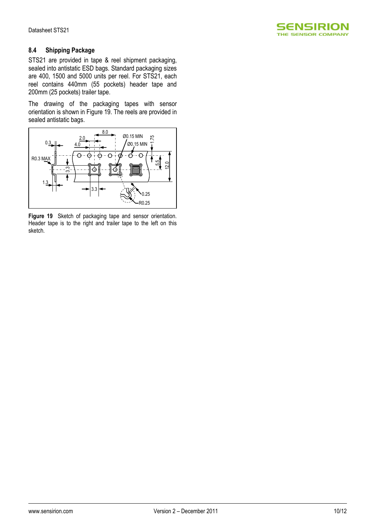

#### **8.4 Shipping Package**

STS21 are provided in tape & reel shipment packaging, sealed into antistatic ESD bags. Standard packaging sizes are 400, 1500 and 5000 units per reel. For STS21, each reel contains 440mm (55 pockets) header tape and 200mm (25 pockets) trailer tape.

The drawing of the packaging tapes with sensor orientation is shown in Figure 19. The reels are provided in sealed antistatic bags.



**Figure 19** Sketch of packaging tape and sensor orientation. Header tape is to the right and trailer tape to the left on this sketch.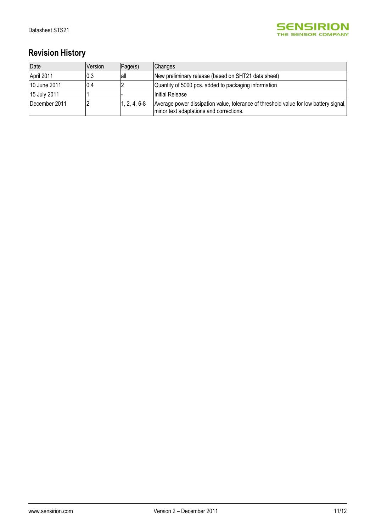

# **Revision History**

| Date          | Version | Page(s)        | <b>Changes</b>                                                                                                                   |
|---------------|---------|----------------|----------------------------------------------------------------------------------------------------------------------------------|
| April 2011    | 0.3     | lall           | New preliminary release (based on SHT21 data sheet)                                                                              |
| 10 June 2011  | 0.4     |                | Quantity of 5000 pcs. added to packaging information                                                                             |
| 15 July 2011  |         |                | Initial Release                                                                                                                  |
| December 2011 |         | $1, 2, 4, 6-8$ | Average power dissipation value, tolerance of threshold value for low battery signal,<br>minor text adaptations and corrections. |